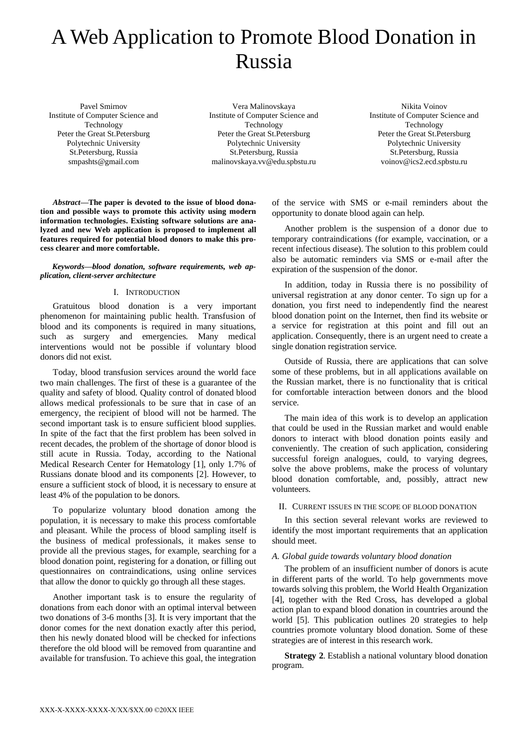# A Web Application to Promote Blood Donation in Russia

Pavel Smirnov Institute of Computer Science and Technology Peter the Great St.Petersburg Polytechnic University St.Petersburg, Russia smpashts@gmail.com

Vera Malinovskaya Institute of Computer Science and Technology Peter the Great St.Petersburg Polytechnic University St.Petersburg, Russia malinovskaya.vv@edu.spbstu.ru

Nikita Voinov Institute of Computer Science and Technology Peter the Great St.Petersburg Polytechnic University St.Petersburg, Russia voinov@ics2.ecd.spbstu.ru

*Abstract***—The paper is devoted to the issue of blood donation and possible ways to promote this activity using modern information technologies. Existing software solutions are analyzed and new Web application is proposed to implement all features required for potential blood donors to make this process clearer and more comfortable.**

*Keywords—blood donation, software requirements, web application, client-server architecture*

## I. INTRODUCTION

Gratuitous blood donation is a very important phenomenon for maintaining public health. Transfusion of blood and its components is required in many situations, such as surgery and emergencies. Many medical interventions would not be possible if voluntary blood donors did not exist.

Today, blood transfusion services around the world face two main challenges. The first of these is a guarantee of the quality and safety of blood. Quality control of donated blood allows medical professionals to be sure that in case of an emergency, the recipient of blood will not be harmed. The second important task is to ensure sufficient blood supplies. In spite of the fact that the first problem has been solved in recent decades, the problem of the shortage of donor blood is still acute in Russia. Today, according to the National Medical Research Center for Hematology [1], only 1.7% of Russians donate blood and its components [2]. However, to ensure a sufficient stock of blood, it is necessary to ensure at least 4% of the population to be donors.

To popularize voluntary blood donation among the population, it is necessary to make this process comfortable and pleasant. While the process of blood sampling itself is the business of medical professionals, it makes sense to provide all the previous stages, for example, searching for a blood donation point, registering for a donation, or filling out questionnaires on contraindications, using online services that allow the donor to quickly go through all these stages.

Another important task is to ensure the regularity of donations from each donor with an optimal interval between two donations of 3-6 months [3]. It is very important that the donor comes for the next donation exactly after this period, then his newly donated blood will be checked for infections therefore the old blood will be removed from quarantine and available for transfusion. To achieve this goal, the integration

of the service with SMS or e-mail reminders about the opportunity to donate blood again can help.

Another problem is the suspension of a donor due to temporary contraindications (for example, vaccination, or a recent infectious disease). The solution to this problem could also be automatic reminders via SMS or e-mail after the expiration of the suspension of the donor.

In addition, today in Russia there is no possibility of universal registration at any donor center. To sign up for a donation, you first need to independently find the nearest blood donation point on the Internet, then find its website or a service for registration at this point and fill out an application. Consequently, there is an urgent need to create a single donation registration service.

Outside of Russia, there are applications that can solve some of these problems, but in all applications available on the Russian market, there is no functionality that is critical for comfortable interaction between donors and the blood service.

The main idea of this work is to develop an application that could be used in the Russian market and would enable donors to interact with blood donation points easily and conveniently. The creation of such application, considering successful foreign analogues, could, to varying degrees, solve the above problems, make the process of voluntary blood donation comfortable, and, possibly, attract new volunteers.

#### II. CURRENT ISSUES IN THE SCOPE OF BLOOD DONATION

In this section several relevant works are reviewed to identify the most important requirements that an application should meet.

# *A. Global guide towards voluntary blood donation*

The problem of an insufficient number of donors is acute in different parts of the world. To help governments move towards solving this problem, the World Health Organization [4], together with the Red Cross, has developed a global action plan to expand blood donation in countries around the world [5]. This publication outlines 20 strategies to help countries promote voluntary blood donation. Some of these strategies are of interest in this research work.

**Strategy 2**. Establish a national voluntary blood donation program.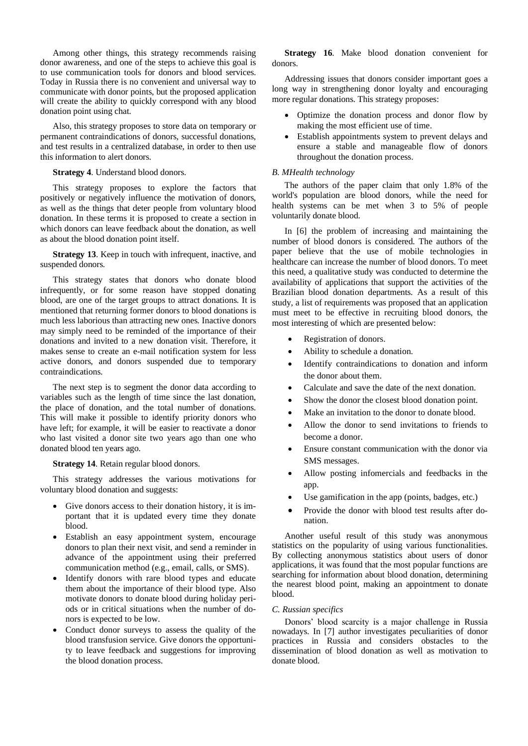Among other things, this strategy recommends raising donor awareness, and one of the steps to achieve this goal is to use communication tools for donors and blood services. Today in Russia there is no convenient and universal way to communicate with donor points, but the proposed application will create the ability to quickly correspond with any blood donation point using chat.

Also, this strategy proposes to store data on temporary or permanent contraindications of donors, successful donations, and test results in a centralized database, in order to then use this information to alert donors.

**Strategy 4**. Understand blood donors.

This strategy proposes to explore the factors that positively or negatively influence the motivation of donors, as well as the things that deter people from voluntary blood donation. In these terms it is proposed to create a section in which donors can leave feedback about the donation, as well as about the blood donation point itself.

**Strategy 13**. Keep in touch with infrequent, inactive, and suspended donors.

This strategy states that donors who donate blood infrequently, or for some reason have stopped donating blood, are one of the target groups to attract donations. It is mentioned that returning former donors to blood donations is much less laborious than attracting new ones. Inactive donors may simply need to be reminded of the importance of their donations and invited to a new donation visit. Therefore, it makes sense to create an e-mail notification system for less active donors, and donors suspended due to temporary contraindications.

The next step is to segment the donor data according to variables such as the length of time since the last donation, the place of donation, and the total number of donations. This will make it possible to identify priority donors who have left; for example, it will be easier to reactivate a donor who last visited a donor site two years ago than one who donated blood ten years ago.

**Strategy 14**. Retain regular blood donors.

This strategy addresses the various motivations for voluntary blood donation and suggests:

- Give donors access to their donation history, it is important that it is updated every time they donate blood.
- Establish an easy appointment system, encourage donors to plan their next visit, and send a reminder in advance of the appointment using their preferred communication method (e.g., email, calls, or SMS).
- Identify donors with rare blood types and educate them about the importance of their blood type. Also motivate donors to donate blood during holiday periods or in critical situations when the number of donors is expected to be low.
- Conduct donor surveys to assess the quality of the blood transfusion service. Give donors the opportunity to leave feedback and suggestions for improving the blood donation process.

**Strategy 16**. Make blood donation convenient for donors.

Addressing issues that donors consider important goes a long way in strengthening donor loyalty and encouraging more regular donations. This strategy proposes:

- Optimize the donation process and donor flow by making the most efficient use of time.
- Establish appointments system to prevent delays and ensure a stable and manageable flow of donors throughout the donation process.

# *B. MHealth technology*

The authors of the paper claim that only 1.8% of the world's population are blood donors, while the need for health systems can be met when 3 to 5% of people voluntarily donate blood.

In [6] the problem of increasing and maintaining the number of blood donors is considered. The authors of the paper believe that the use of mobile technologies in healthcare can increase the number of blood donors. To meet this need, a qualitative study was conducted to determine the availability of applications that support the activities of the Brazilian blood donation departments. As a result of this study, a list of requirements was proposed that an application must meet to be effective in recruiting blood donors, the most interesting of which are presented below:

- Registration of donors.
- Ability to schedule a donation.
- Identify contraindications to donation and inform the donor about them.
- Calculate and save the date of the next donation.
- Show the donor the closest blood donation point.
- Make an invitation to the donor to donate blood.
- Allow the donor to send invitations to friends to become a donor.
- Ensure constant communication with the donor via SMS messages.
- Allow posting infomercials and feedbacks in the app.
- Use gamification in the app (points, badges, etc.)
- Provide the donor with blood test results after donation.

Another useful result of this study was anonymous statistics on the popularity of using various functionalities. By collecting anonymous statistics about users of donor applications, it was found that the most popular functions are searching for information about blood donation, determining the nearest blood point, making an appointment to donate blood.

# *C. Russian specifics*

Donors' blood scarcity is a major challenge in Russia nowadays. In [7] author investigates peculiarities of donor practices in Russia and considers obstacles to the dissemination of blood donation as well as motivation to donate blood.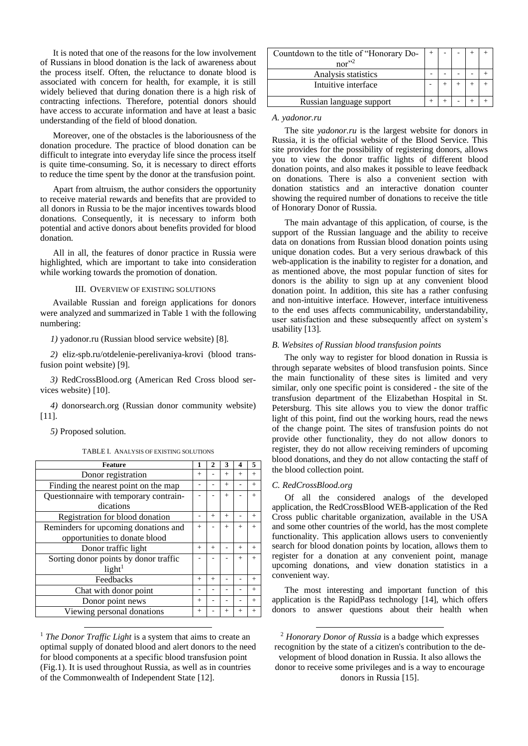It is noted that one of the reasons for the low involvement of Russians in blood donation is the lack of awareness about the process itself. Often, the reluctance to donate blood is associated with concern for health, for example, it is still widely believed that during donation there is a high risk of contracting infections. Therefore, potential donors should have access to accurate information and have at least a basic understanding of the field of blood donation.

Moreover, one of the obstacles is the laboriousness of the donation procedure. The practice of blood donation can be difficult to integrate into everyday life since the process itself is quite time-consuming. So, it is necessary to direct efforts to reduce the time spent by the donor at the transfusion point.

Apart from altruism, the author considers the opportunity to receive material rewards and benefits that are provided to all donors in Russia to be the major incentives towards blood donations. Consequently, it is necessary to inform both potential and active donors about benefits provided for blood donation.

All in all, the features of donor practice in Russia were highlighted, which are important to take into consideration while working towards the promotion of donation.

## III. OVERVIEW OF EXISTING SOLUTIONS

Available Russian and foreign applications for donors were analyzed and summarized in Table 1 with the following numbering:

*1)* yadonor.ru (Russian blood service website) [8].

*2)* eliz-spb.ru/otdelenie-perelivaniya-krovi (blood transfusion point website) [9].

*3)* RedCrossBlood.org (American Red Cross blood services website) [10].

*4)* donorsearch.org (Russian donor community website)  $[11]$ .

*5)* Proposed solution.

TABLE I. ANALYSIS OF EXISTING SOLUTIONS

| <b>Feature</b>                                              |        |     | 3      | 4      | 5      |
|-------------------------------------------------------------|--------|-----|--------|--------|--------|
| Donor registration                                          | $^{+}$ |     | $+$    | $^{+}$ | $^{+}$ |
| Finding the nearest point on the map                        |        |     | $+$    |        | $+$    |
| Questionnaire with temporary contrain-<br>dications         |        |     | $+$    |        | $^{+}$ |
| Registration for blood donation                             |        | $+$ | $+$    |        | $^{+}$ |
| Reminders for upcoming donations and                        | $^{+}$ |     | $+$    | $+$    | $^{+}$ |
| opportunities to donate blood                               |        |     |        |        |        |
| Donor traffic light                                         | $^{+}$ | $+$ |        | $+$    | $^{+}$ |
| Sorting donor points by donor traffic<br>light <sup>1</sup> |        |     |        | $^{+}$ | $^{+}$ |
| Feedbacks                                                   | $^{+}$ | $+$ |        |        | $^{+}$ |
| Chat with donor point                                       |        |     |        |        | $^{+}$ |
| Donor point news                                            | $^{+}$ |     |        |        | $^{+}$ |
| Viewing personal donations                                  | $^{+}$ |     | $^{+}$ | $^{+}$ |        |

<sup>1</sup> *The Donor Traffic Light* is a system that aims to create an optimal supply of donated blood and alert donors to the need for blood components at a specific blood transfusion point (Fig.1). It is used throughout Russia, as well as in countries of the Commonwealth of Independent State [12].

| Countdown to the title of "Honorary Do-<br>nor'' <sup>2</sup> |  |  |  |
|---------------------------------------------------------------|--|--|--|
|                                                               |  |  |  |
| Analysis statistics                                           |  |  |  |
| Intuitive interface                                           |  |  |  |
| Russian language support                                      |  |  |  |
|                                                               |  |  |  |

#### *A. yadonor.ru*

The site *yadonor.ru* is the largest website for donors in Russia, it is the official website of the Blood Service. This site provides for the possibility of registering donors, allows you to view the donor traffic lights of different blood donation points, and also makes it possible to leave feedback on donations. There is also a convenient section with donation statistics and an interactive donation counter showing the required number of donations to receive the title of Honorary Donor of Russia.

The main advantage of this application, of course, is the support of the Russian language and the ability to receive data on donations from Russian blood donation points using unique donation codes. But a very serious drawback of this web-application is the inability to register for a donation, and as mentioned above, the most popular function of sites for donors is the ability to sign up at any convenient blood donation point. In addition, this site has a rather confusing and non-intuitive interface. However, interface intuitiveness to the end uses affects communicability, understandability, user satisfaction and these subsequently affect on system's usability [13].

### *B. Websites of Russian blood transfusion points*

The only way to register for blood donation in Russia is through separate websites of blood transfusion points. Since the main functionality of these sites is limited and very similar, only one specific point is considered - the site of the transfusion department of the Elizabethan Hospital in St. Petersburg. This site allows you to view the donor traffic light of this point, find out the working hours, read the news of the change point. The sites of transfusion points do not provide other functionality, they do not allow donors to register, they do not allow receiving reminders of upcoming blood donations, and they do not allow contacting the staff of the blood collection point.

#### *C. RedCrossBlood.org*

Of all the considered analogs of the developed application, the RedCrossBlood WEB-application of the Red Cross public charitable organization, available in the USA and some other countries of the world, has the most complete functionality. This application allows users to conveniently search for blood donation points by location, allows them to register for a donation at any convenient point, manage upcoming donations, and view donation statistics in a convenient way.

The most interesting and important function of this application is the RapidPass technology [14], which offers donors to answer questions about their health when

<sup>2</sup> *Honorary Donor of Russia* is a badge which expresses recognition by the state of a citizen's contribution to the development of blood donation in Russia. It also allows the donor to receive some privileges and is a way to encourage donors in Russia [15].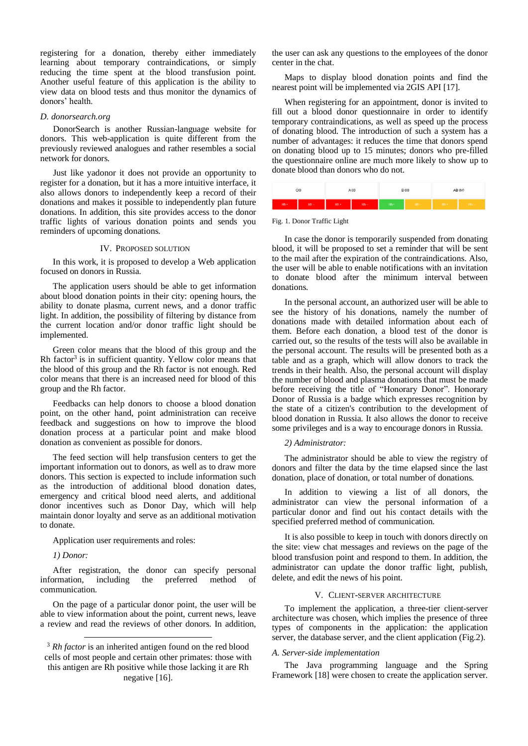registering for a donation, thereby either immediately learning about temporary contraindications, or simply reducing the time spent at the blood transfusion point. Another useful feature of this application is the ability to view data on blood tests and thus monitor the dynamics of donors' health.

#### *D. donorsearch.org*

DonorSearch is another Russian-language website for donors. This web-application is quite different from the previously reviewed analogues and rather resembles a social network for donors.

Just like yadonor it does not provide an opportunity to register for a donation, but it has a more intuitive interface, it also allows donors to independently keep a record of their donations and makes it possible to independently plan future donations. In addition, this site provides access to the donor traffic lights of various donation points and sends you reminders of upcoming donations.

#### IV. PROPOSED SOLUTION

In this work, it is proposed to develop a Web application focused on donors in Russia.

The application users should be able to get information about blood donation points in their city: opening hours, the ability to donate plasma, current news, and a donor traffic light. In addition, the possibility of filtering by distance from the current location and/or donor traffic light should be implemented.

Green color means that the blood of this group and the Rh factor<sup>3</sup> is in sufficient quantity. Yellow color means that the blood of this group and the Rh factor is not enough. Red color means that there is an increased need for blood of this group and the Rh factor.

Feedbacks can help donors to choose a blood donation point, on the other hand, point administration can receive feedback and suggestions on how to improve the blood donation process at a particular point and make blood donation as convenient as possible for donors.

The feed section will help transfusion centers to get the important information out to donors, as well as to draw more donors. This section is expected to include information such as the introduction of additional blood donation dates, emergency and critical blood need alerts, and additional donor incentives such as Donor Day, which will help maintain donor loyalty and serve as an additional motivation to donate.

Application user requirements and roles:

*1) Donor:* 

After registration, the donor can specify personal<br>primation, including the preferred method of information, including the preferred method of communication.

On the page of a particular donor point, the user will be able to view information about the point, current news, leave a review and read the reviews of other donors. In addition,

the user can ask any questions to the employees of the donor center in the chat.

Maps to display blood donation points and find the nearest point will be implemented via 2GIS API [17].

When registering for an appointment, donor is invited to fill out a blood donor questionnaire in order to identify temporary contraindications, as well as speed up the process of donating blood. The introduction of such a system has a number of advantages: it reduces the time that donors spend on donating blood up to 15 minutes; donors who pre-filled the questionnaire online are much more likely to show up to donate blood than donors who do not.



Fig. 1. Donor Traffic Light

In case the donor is temporarily suspended from donating blood, it will be proposed to set a reminder that will be sent to the mail after the expiration of the contraindications. Also, the user will be able to enable notifications with an invitation to donate blood after the minimum interval between donations.

In the personal account, an authorized user will be able to see the history of his donations, namely the number of donations made with detailed information about each of them. Before each donation, a blood test of the donor is carried out, so the results of the tests will also be available in the personal account. The results will be presented both as a table and as a graph, which will allow donors to track the trends in their health. Also, the personal account will display the number of blood and plasma donations that must be made before receiving the title of "Honorary Donor". Honorary Donor of Russia is a badge which expresses recognition by the state of a citizen's contribution to the development of blood donation in Russia. It also allows the donor to receive some privileges and is a way to encourage donors in Russia.

# *2) Administrator:*

The administrator should be able to view the registry of donors and filter the data by the time elapsed since the last donation, place of donation, or total number of donations.

In addition to viewing a list of all donors, the administrator can view the personal information of a particular donor and find out his contact details with the specified preferred method of communication.

It is also possible to keep in touch with donors directly on the site: view chat messages and reviews on the page of the blood transfusion point and respond to them. In addition, the administrator can update the donor traffic light, publish, delete, and edit the news of his point.

# V. CLIENT-SERVER ARCHITECTURE

To implement the application, a three-tier client-server architecture was chosen, which implies the presence of three types of components in the application: the application server, the database server, and the client application (Fig.2).

#### *A. Server-side implementation*

The Java programming language and the Spring Framework [18] were chosen to create the application server.

<sup>&</sup>lt;sup>3</sup> *Rh factor* is an inherited antigen found on the red blood cells of most people and certain other primates: those with this antigen are Rh positive while those lacking it are Rh negative [16].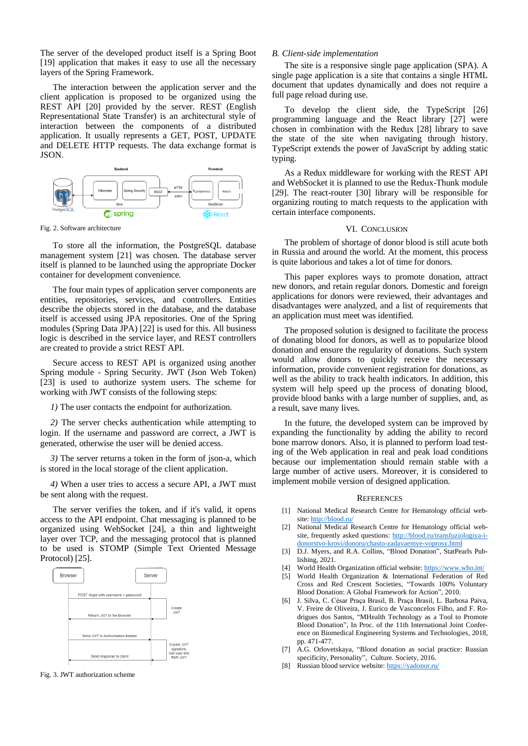The server of the developed product itself is a Spring Boot [19] application that makes it easy to use all the necessary layers of the Spring Framework.

The interaction between the application server and the client application is proposed to be organized using the REST API [20] provided by the server. REST (English Representational State Transfer) is an architectural style of interaction between the components of a distributed application. It usually represents a GET, POST, UPDATE and DELETE HTTP requests. The data exchange format is JSON.



Fig. 2. Software architecture

To store all the information, the PostgreSQL database management system [21] was chosen. The database server itself is planned to be launched using the appropriate Docker container for development convenience.

The four main types of application server components are entities, repositories, services, and controllers. Entities describe the objects stored in the database, and the database itself is accessed using JPA repositories. One of the Spring modules (Spring Data JPA) [22] is used for this. All business logic is described in the service layer, and REST controllers are created to provide a strict REST API.

Secure access to REST API is organized using another Spring module - Spring Security. JWT (Json Web Token) [23] is used to authorize system users. The scheme for working with JWT consists of the following steps:

*1)* The user contacts the endpoint for authorization.

*2)* The server checks authentication while attempting to login. If the username and password are correct, a JWT is generated, otherwise the user will be denied access.

*3)* The server returns a token in the form of json-a, which is stored in the local storage of the client application.

*4)* When a user tries to access a secure API, a JWT must be sent along with the request.

The server verifies the token, and if it's valid, it opens access to the API endpoint. Chat messaging is planned to be organized using WebSocket [24], a thin and lightweight layer over TCP, and the messaging protocol that is planned to be used is STOMP (Simple Text Oriented Message Protocol) [25].



Fig. 3. JWT authorization scheme

#### *B. Client-side implementation*

The site is a responsive single page application (SPA). A single page application is a site that contains a single HTML document that updates dynamically and does not require a full page reload during use.

To develop the client side, the TypeScript [26] programming language and the React library [27] were chosen in combination with the Redux [28] library to save the state of the site when navigating through history. TypeScript extends the power of JavaScript by adding static typing.

As a Redux middleware for working with the REST API and WebSocket it is planned to use the Redux-Thunk module [29]. The react-router [30] library will be responsible for organizing routing to match requests to the application with certain interface components.

#### VI. CONCLUSION

The problem of shortage of donor blood is still acute both in Russia and around the world. At the moment, this process is quite laborious and takes a lot of time for donors.

This paper explores ways to promote donation, attract new donors, and retain regular donors. Domestic and foreign applications for donors were reviewed, their advantages and disadvantages were analyzed, and a list of requirements that an application must meet was identified.

The proposed solution is designed to facilitate the process of donating blood for donors, as well as to popularize blood donation and ensure the regularity of donations. Such system would allow donors to quickly receive the necessary information, provide convenient registration for donations, as well as the ability to track health indicators. In addition, this system will help speed up the process of donating blood, provide blood banks with a large number of supplies, and, as a result, save many lives.

In the future, the developed system can be improved by expanding the functionality by adding the ability to record bone marrow donors. Also, it is planned to perform load testing of the Web application in real and peak load conditions because our implementation should remain stable with a large number of active users. Moreover, it is considered to implement mobile version of designed application.

#### **REFERENCES**

- [1] National Medical Research Centre for Hematology official website[: http://blood.ru/](http://blood.ru/)
- [2] National Medical Research Centre for Hematology official website, frequently asked questions: [http://blood.ru/transfuziologiya-i](http://blood.ru/transfuziologiya-i-donorstvo-krovi/donoru/chasto-zadavaemye-voprosy.html)[donorstvo-krovi/donoru/chasto-zadavaemye-voprosy.html](http://blood.ru/transfuziologiya-i-donorstvo-krovi/donoru/chasto-zadavaemye-voprosy.html)
- [3] D.J. Myers, and R.A. Collins, "Blood Donation", StatPearls Publishing, 2021.
- [4] World Health Organization official website[: https://www.who.int/](https://www.who.int/)
- [5] World Health Organization & International Federation of Red Cross and Red Crescent Societies, "Towards 100% Voluntary Blood Donation: A Global Framework for Action", 2010.
- [6] J. Silva, C. César Praça Brasil, B. Praça Brasil, L. Barbosa Paiva, V. Freire de Oliveira, J. Eurico de Vasconcelos Filho, and F. Rodrigues dos Santos, "MHealth Technology as a Tool to Promote Blood Donation", In Proc. of the 11th International Joint Conference on Biomedical Engineering Systems and Technologies, 2018, pp. 471-477.
- [7] A.G. Orlovetskaya, "Blood donation as social practice: Russian specificity, Personality", Culture. Society, 2016.
- [8] Russian blood service website[: https://yadonor.ru/](https://yadonor.ru/)